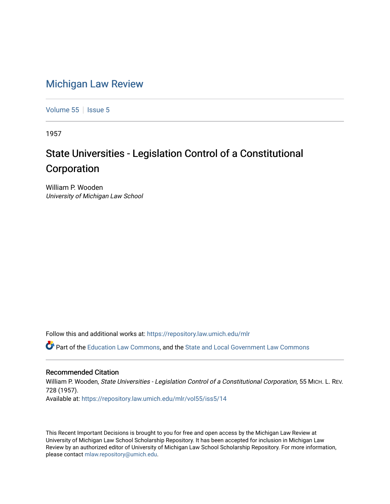## [Michigan Law Review](https://repository.law.umich.edu/mlr)

[Volume 55](https://repository.law.umich.edu/mlr/vol55) | [Issue 5](https://repository.law.umich.edu/mlr/vol55/iss5)

1957

## State Universities - Legislation Control of a Constitutional Corporation

William P. Wooden University of Michigan Law School

Follow this and additional works at: [https://repository.law.umich.edu/mlr](https://repository.law.umich.edu/mlr?utm_source=repository.law.umich.edu%2Fmlr%2Fvol55%2Fiss5%2F14&utm_medium=PDF&utm_campaign=PDFCoverPages) 

Part of the [Education Law Commons,](http://network.bepress.com/hgg/discipline/596?utm_source=repository.law.umich.edu%2Fmlr%2Fvol55%2Fiss5%2F14&utm_medium=PDF&utm_campaign=PDFCoverPages) and the [State and Local Government Law Commons](http://network.bepress.com/hgg/discipline/879?utm_source=repository.law.umich.edu%2Fmlr%2Fvol55%2Fiss5%2F14&utm_medium=PDF&utm_campaign=PDFCoverPages)

## Recommended Citation

William P. Wooden, State Universities - Legislation Control of a Constitutional Corporation, 55 MICH. L. REV. 728 (1957). Available at: [https://repository.law.umich.edu/mlr/vol55/iss5/14](https://repository.law.umich.edu/mlr/vol55/iss5/14?utm_source=repository.law.umich.edu%2Fmlr%2Fvol55%2Fiss5%2F14&utm_medium=PDF&utm_campaign=PDFCoverPages) 

This Recent Important Decisions is brought to you for free and open access by the Michigan Law Review at University of Michigan Law School Scholarship Repository. It has been accepted for inclusion in Michigan Law Review by an authorized editor of University of Michigan Law School Scholarship Repository. For more information, please contact [mlaw.repository@umich.edu.](mailto:mlaw.repository@umich.edu)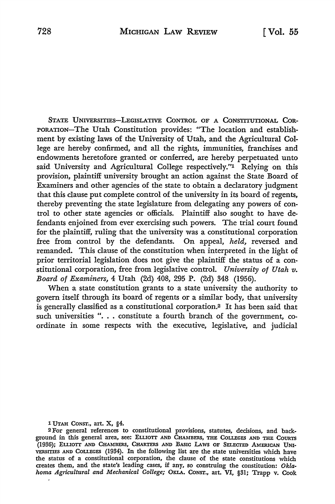STATE UNIVERSITIES--LEGISLATIVE CONTROL OF A CONSTITUTIONAL COR-PORATION-The Utah Constitution provides: "The location and establishment by existing laws of the University of Utah, and the Agricultural College are hereby confirmed, and all the rights, immunities, franchises and endowments heretofore granted or conferred, are hereby perpetuated unto said University and Agricultural College respectively."<sup>1</sup> Relying on this provision, plaintiff university brought an action against the State Board of Examiners and other agencies of the state to obtain a declaratory judgment that this clause put complete control of the university in its board of regents, thereby preventing the state legislature from delegating any powers of control to other state agencies or officials. Plaintiff also sought to have defendants enjoined from ever exercising such powers. The trial court found for the plaintiff, ruling that the university was a constitutional corporation free from control by the defendants. On appeal, *held,* reversed and remanded. This clause of the constitution when interpreted in the light of prior territorial legislation does not give the plaintiff the status of a constitutional corporation, free from legislative control. *University of Utah v. Board of Examiners,* 4 Utah (2d) 408, 295 P. (2d) 348 (1956).

When a state constitution grants to a state university the authority to govern itself through its board of regents or a similar body, that university is generally classified as a constitutional corporation.2 It has been said that such universities " $\dots$  constitute a fourth branch of the government, coordinate in some respects with the executive, legislative, and judicial

1 UTAH CoNsr., art. X, §4.

<sup>2</sup> For general references to constitutional provisions, statutes, decisions, and background in this general area, see: ELLIOTI AND CHAMBERS, THE COLLEGES AND THE COURTS (1936); ELLIOTI AND CHAMBERS, CHARTERS AND BASIC LAws OF SELECTED AMERICAN UNI-VERSITIES AND COLLEGES (1934). In the following list are the state universities which have the status of a constitutional corporation, the clause of the state constitutions which creates them, and the state's leading cases, if any, so construing the constitution: *Oklahoma Agricultural and Mechanical College;* OKLA. CoNsr., art. VI, §31; Trapp v. Cook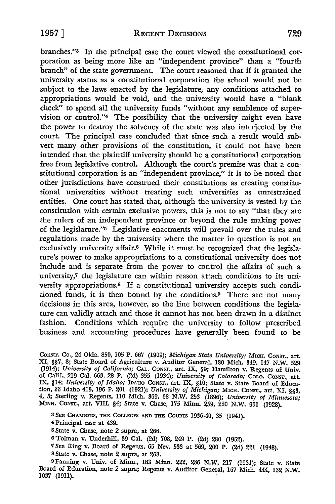branches.''3 In the principal case the court viewed the constitutional corporation as being more like an "independent province" than a "fourth branch" of the state government. The court reasoned that if it granted the university status as a constitutional corporation the school would not be subject to the laws enacted by the legislature, any conditions attached to appropriations would be void, and the university would have a "blank check" to spend all the university funds "without any semblence of supervision or control.''4 The possibility that the university might even have the power to destroy the solvency of the state was also interjected by the court. The principal case concluded that since such a result would subvert many other provisions of the constitution, it could not have been intended that the plaintiff university should be a constitutional corporation free from legislative control. Although the court's premise was that a constitutional corporation is an "independent province," it is to be noted that other jurisdictions have construed their constitutions as creating constitutional universities without treating such universities as unrestrained entities. One court has stated that, although the university is vested by the constitution with certain exclusive powers, this is not to say "that they are the rulers of an independent province or beyond the rule making power of the legislature.''5 Legislative enactments will prevail over the rules and regulations made by the university where the matter in question is not an exclusively university affair.6 While it must be recognized that the legislature's power to make appropriations to a constitutional university does not include and is separate from the power to control the affairs of such a university,7 the legislature can within reason attach conditions to its university appropriations.8 If a constitutional university accepts such conditioned funds, it is then bound by the conditions.9 There are not many decisions in this area, however, so the line between conditions the legislature can validly attach and those it cannot has not been drawn in a distinct fashion. Conditions which require the university to follow prescribed business and accounting procedures have generally been found to be

Constr. Co., 24 Okla. 850, 105 P. 667 (1909); *Michigan State University;* MICH. CoNsr., art. XI, §§7, 8; State Board of Agriculture v. Auditor General, 180 Mich. 349, 147 N.W. 529 (1914); *University of California;* CAL. CoNsr., art. IX, §9; Hamilton v. Regents of Univ. of Calif., 219 Cal. 663, 28 P. (2d) 355 (1934); *University of Colorado;* CoLO. CoNsr., art. IX, §14; *University of Idaho;* IDAHO CONST., art. IX, §10; State v. State Board of Education, 33 Idaho 415, 196 P. 201 (1921); *University of Michigan;* MICH. CoNsr., art. XI, §§3, 4, 5; Sterling v. Regents, llO Mich. 369, 68 N.W. 253 (1896); *University of Minnesota;*  MINN. CoNsr., art. VIII, §4; State v. Chase, 175 Minn. 259, 220 N.W. 951 (1928).

- 3 See CHAMBERS, THE COLLEGES AND THE COURTS 1936-40, 35 (1941).
- <sup>4</sup>Principal case at 439.
- <sup>5</sup>State v. Chase, note 2 supra, at 266.
- 6 Tolman v. Underhill, 39 Cal. (2d) 708, 249 P. (2d) 280 (1952).
- '1 See King v. Board of Regents, 65 Nev. 533 at 569, 200 P. (2d) 221 (1948).
- <sup>8</sup>State v. Chase, note 2 supra, at 268.

9Fanning v. Univ. of Minn., 183 Minn. 222, 236 N.W. 217 (1931); State v. State Board of Education, note 2 supra; Regents v. Auditor General, 167 Mich. 444, 132 N.W. 1037 (1911).